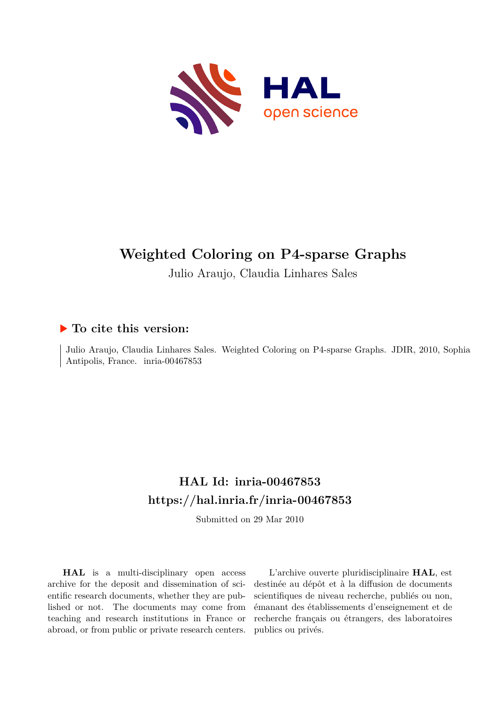

## **Weighted Coloring on P4-sparse Graphs**

Julio Araujo, Claudia Linhares Sales

### **To cite this version:**

Julio Araujo, Claudia Linhares Sales. Weighted Coloring on P4-sparse Graphs. JDIR, 2010, Sophia Antipolis, France. inria-00467853

### **HAL Id: inria-00467853 <https://hal.inria.fr/inria-00467853>**

Submitted on 29 Mar 2010

**HAL** is a multi-disciplinary open access archive for the deposit and dissemination of scientific research documents, whether they are published or not. The documents may come from teaching and research institutions in France or abroad, or from public or private research centers.

L'archive ouverte pluridisciplinaire **HAL**, est destinée au dépôt et à la diffusion de documents scientifiques de niveau recherche, publiés ou non, émanant des établissements d'enseignement et de recherche français ou étrangers, des laboratoires publics ou privés.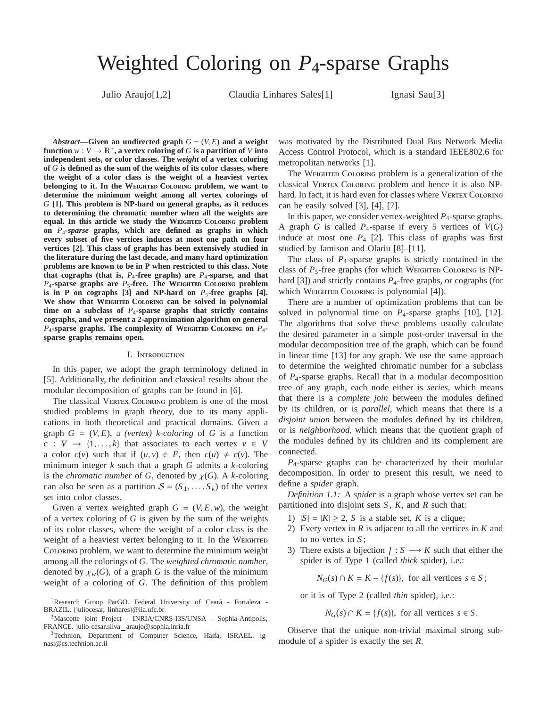# Weighted Coloring on *P*4-sparse Graphs

Julio Araujo[1,2] Claudia Linhares Sales[1] Ignasi Sau[3]

*Abstract*—Given an undirected graph  $G = (V, E)$  and a weight **function**  $w: V \to \mathbb{R}^+$ , a vertex coloring of G is a partition of V into **independent sets, or color classes. The** *weight* **of a vertex coloring of** *G* **is defined as the sum of the weights of its color classes, where the weight of a color class is the weight of a heaviest vertex belonging to it. In the WEIGHTED COLORING problem, we want to determine the minimum weight among all vertex colorings of** *G* **[1]. This problem is NP-hard on general graphs, as it reduces to determining the chromatic number when all the weights are equal.** In this article we study the WEIGHTED COLORING problem **on** *P*4*-sparse* **graphs, which are defined as graphs in which every subset of five vertices induces at most one path on four vertices [2]. This class of graphs has been extensively studied in the literature during the last decade, and many hard optimization problems are known to be in P when restricted to this class. Note that cographs (that is,**  $P_4$ **-free graphs) are**  $P_4$ **-sparse, and that**  $P_4$ **-sparse graphs are**  $P_5$ **-free. The WEIGHTED COLORING problem** is in P on cographs  $[3]$  and NP-hard on  $P_5$ -free graphs  $[4]$ . We show that WEIGHTED COLORING can be solved in polynomial **time on a subclass of** *P*4**-sparse graphs that strictly contains cographs, and we present a 2-approximation algorithm on general**  $P_4$ **-sparse graphs. The complexity of WEIGHTED COLORING ON**  $P_4$ **sparse graphs remains open.**

#### I. I

In this paper, we adopt the graph terminology defined in [5]. Additionally, the definition and classical results about the modular decomposition of graphs can be found in [6].

The classical  $V$   $C$  problem is one of the most studied problems in graph theory, due to its many applications in both theoretical and practical domains. Given a graph  $G = (V, E)$ , a *(vertex)* k-coloring of G is a function  $c: V \rightarrow \{1, \ldots, k\}$  that associates to each vertex  $v \in V$ a color  $c(v)$  such that if  $(u, v) \in E$ , then  $c(u) \neq c(v)$ . The minimum integer *k* such that a graph *G* admits a *k*-coloring is the *chromatic number* of *G*, denoted by  $\chi(G)$ . A *k*-coloring can also be seen as a partition  $S = (S_1, \ldots, S_k)$  of the vertex set into color classes.

Given a vertex weighted graph  $G = (V, E, w)$ , the weight of a vertex coloring of *G* is given by the sum of the weights of its color classes, where the weight of a color class is the weight of a heaviest vertex belonging to it. In the W

C problem, we want to determine the minimum weight among all the colorings of *G*. The *weighted chromatic number*, denoted by  $\chi_w(G)$ , of a graph *G* is the value of the minimum weight of a coloring of *G*. The definition of this problem

<sup>3</sup>Technion, Department of Computer Science, Haifa, ISRAEL. ignasi@cs.technion.ac.il

was motivated by the Distributed Dual Bus Network Media Access Control Protocol, which is a standard IEEE802.6 for metropolitan networks [1].

The W  $\qquad C$  problem is a generalization of the classical V  $\qquad$  C  $\qquad$  problem and hence it is also NPhard. In fact, it is hard even for classes where  $V$   $C$ can be easily solved [3], [4], [7].

In this paper, we consider vertex-weighted *P*4-sparse graphs. A graph *G* is called  $P_4$ -sparse if every 5 vertices of  $V(G)$ induce at most one  $P_4$  [2]. This class of graphs was first studied by Jamison and Olariu [8]–[11].

The class of *P*4-sparse graphs is strictly contained in the class of  $P_5$ -free graphs (for which W  $C$  is NPhard  $[3]$ ) and strictly contains  $P_4$ -free graphs, or cographs (for which W  $\qquad C$  is polynomial [4]).

There are a number of optimization problems that can be solved in polynomial time on *P*4-sparse graphs [10], [12]. The algorithms that solve these problems usually calculate the desired parameter in a simple post-order traversal in the modular decomposition tree of the graph, which can be found in linear time [13] for any graph. We use the same approach to determine the weighted chromatic number for a subclass of *P*4-sparse graphs. Recall that in a modular decomposition tree of any graph, each node either is *series*, which means that there is a *complete join* between the modules defined by its children, or is *parallel*, which means that there is a *disjoint union* between the modules defined by its children, or is *neighborhood*, which means that the quotient graph of the modules defined by its children and its complement are connected.

*P*4-sparse graphs can be characterized by their modular decomposition. In order to present this result, we need to define a *spider* graph.

*Definition 1.1:* A *spider* is a graph whose vertex set can be partitioned into disjoint sets *S* , *K*, and *R* such that:

- 1)  $|S| = |K| \geq 2$ , *S* is a stable set, *K* is a clique;
- 2) Every vertex in *R* is adjacent to all the vertices in *K* and to no vertex in *S* ;
- 3) There exists a bijection  $f : S \longrightarrow K$  such that either the spider is of Type 1 (called *thick* spider), i.e.:

 $N_G(s) \cap K = K - \{f(s)\}\$ , for all vertices  $s \in S$ ;

or it is of Type 2 (called *thin* spider), i.e.:

 $N_G(s) \cap K = \{f(s)\}\$ , for all vertices  $s \in S$ .

Observe that the unique non-trivial maximal strong submodule of a spider is exactly the set *R*.

<sup>&</sup>lt;sup>1</sup>Research Group ParGO. Federal University of Ceará - Fortaleza -BRAZIL. {juliocesar, linhares}@lia.ufc.br

<sup>&</sup>lt;sup>2</sup>Mascotte joint Project - INRIA/CNRS-I3S/UNSA - Sophia-Antipolis, FRANCE. julio-cesar.silva\_araujo@sophia.inria.fr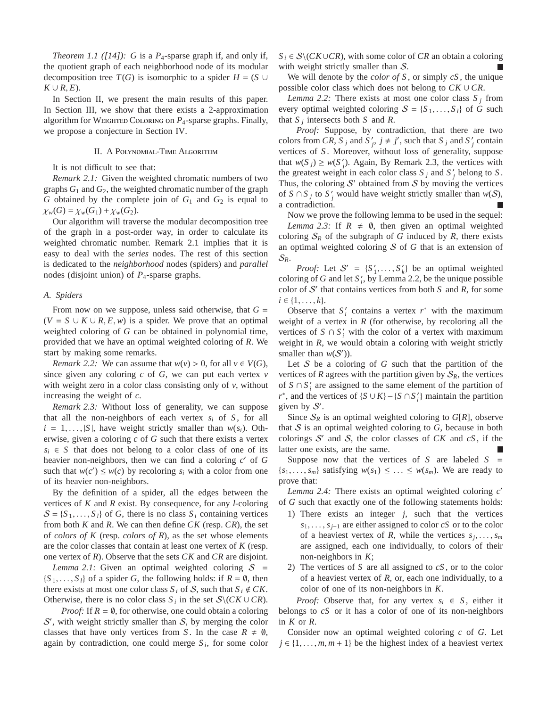*Theorem 1.1 ([14]):* G is a  $P_4$ -sparse graph if, and only if, the quotient graph of each neighborhood node of its modular decomposition tree *T*(*G*) is isomorphic to a spider *H* = (*S* ∪  $K \cup R$ ,  $E$ ).

In Section II, we present the main results of this paper. In Section III, we show that there exists a 2-approximation algorithm for W  $\qquad C$  on *P*<sub>4</sub>-sparse graphs. Finally, we propose a conjecture in Section IV.

$$
II. AP \t -T \t A
$$

It is not difficult to see that:

*Remark 2.1:* Given the weighted chromatic numbers of two graphs  $G_1$  and  $G_2$ , the weighted chromatic number of the graph *G* obtained by the complete join of  $G_1$  and  $G_2$  is equal to  $\chi_w(G) = \chi_w(G_1) + \chi_w(G_2).$ 

Our algorithm will traverse the modular decomposition tree of the graph in a post-order way, in order to calculate its weighted chromatic number. Remark 2.1 implies that it is easy to deal with the *series* nodes. The rest of this section is dedicated to the *neighborhood* nodes (spiders) and *parallel* nodes (disjoint union) of *P*4-sparse graphs.

#### *A. Spiders*

From now on we suppose, unless said otherwise, that  $G =$  $(V = S \cup K \cup R, E, w)$  is a spider. We prove that an optimal weighted coloring of *G* can be obtained in polynomial time, provided that we have an optimal weighted coloring of *R*. We start by making some remarks.

*Remark 2.2:* We can assume that  $w(v) > 0$ , for all  $v \in V(G)$ , since given any coloring *c* of *G*, we can put each vertex *v* with weight zero in a color class consisting only of *v*, without increasing the weight of *c*.

*Remark 2.3:* Without loss of generality, we can suppose that all the non-neighbors of each vertex  $s_i$  of  $S$ , for all  $i = 1, \ldots, |S|$ , have weight strictly smaller than  $w(s_i)$ . Otherwise, given a coloring *c* of *G* such that there exists a vertex  $s_i \in S$  that does not belong to a color class of one of its heavier non-neighbors, then we can find a coloring *c* ′ of *G* such that  $w(c') \leq w(c)$  by recoloring  $s_i$  with a color from one of its heavier non-neighbors.

By the definition of a spider, all the edges between the vertices of *K* and *R* exist. By consequence, for any *l*-coloring  $S = \{S_1, \ldots, S_l\}$  of *G*, there is no class  $S_i$  containing vertices from both *K* and *R*. We can then define *CK* (resp. *CR*), the set of *colors of K* (resp. *colors of R*), as the set whose elements are the color classes that contain at least one vertex of *K* (resp. one vertex of *R*). Observe that the sets *CK* and *CR* are disjoint.

*Lemma 2.1:* Given an optimal weighted coloring  $S =$  ${S_1, \ldots, S_l}$  of a spider *G*, the following holds: if  $R = \emptyset$ , then there exists at most one color class  $S_i$  of  $S$ , such that  $S_i \notin CK$ . Otherwise, there is no color class  $S_i$  in the set  $S \setminus (CK \cup CR)$ .

*Proof:* If  $R = \emptyset$ , for otherwise, one could obtain a coloring S', with weight strictly smaller than S, by merging the color classes that have only vertices from *S*. In the case  $R \neq \emptyset$ , again by contradiction, one could merge  $S_i$ , for some color  $S_i \in \mathcal{S} \setminus (CK \cup CR)$ , with some color of *CR* an obtain a coloring with weight strictly smaller than  $S$ .

We will denote by the *color of S* , or simply *cS* , the unique possible color class which does not belong to  $CK \cup CR$ .

*Lemma 2.2:* There exists at most one color class  $S_i$  from every optimal weighted coloring  $S = \{S_1, \ldots, S_l\}$  of *G* such that  $S_j$  intersects both  $S$  and  $R$ .

*Proof:* Suppose, by contradiction, that there are two colors from *CR*,  $S_j$  and  $S'_j$ ,  $j \neq j'$ , such that  $S_j$  and  $S'_j$  contain vertices of *S* . Moreover, without loss of generality, suppose that  $w(S_j) \geq w(S'_j)$ . Again, By Remark 2.3, the vertices with the greatest weight in each color class  $S_j$  and  $S'_j$  belong to  $S$ . Thus, the coloring  $S'$  obtained from  $S$  by moving the vertices of *S* ∩ *S*<sub>*j*</sub> to *S*<sup>*'*</sup><sub>*j*</sub> would have weight strictly smaller than  $w(S)$ , a contradiction.

Now we prove the following lemma to be used in the sequel: *Lemma 2.3:* If  $R \neq \emptyset$ , then given an optimal weighted coloring  $S_R$  of the subgraph of *G* induced by *R*, there exists an optimal weighted coloring S of *G* that is an extension of  $\mathcal{S}_R$ .

*Proof:* Let  $S' = \{S'_1, \ldots, S'_k\}$  be an optimal weighted coloring of *G* and let  $S_i'$ , by Lemma 2.2, be the unique possible color of  $S'$  that contains vertices from both  $S$  and  $R$ , for some  $i \in \{1, \ldots, k\}.$ 

Observe that  $S_i'$  contains a vertex  $r^*$  with the maximum weight of a vertex in  $R$  (for otherwise, by recoloring all the vertices of  $S \cap S'_i$  with the color of a vertex with maximum weight in *R*, we would obtain a coloring with weight strictly smaller than  $w(S')$ ).

Let S be a coloring of G such that the partition of the vertices of *R* agrees with the partition given by  $S_R$ , the vertices of  $S \cap S'_i$  are assigned to the same element of the partition of *r*<sup>\*</sup>, and the vertices of  ${S \cup K} - {S \cap S'_{i}}$  maintain the partition given by  $S'$ .

Since  $S_R$  is an optimal weighted coloring to  $G[R]$ , observe that  $S$  is an optimal weighted coloring to  $G$ , because in both colorings  $S'$  and  $S$ , the color classes of  $CK$  and  $cS$ , if the latter one exists, are the same.

Suppose now that the vertices of  $S$  are labeled  $S =$  ${s_1, \ldots, s_m}$  satisfying  $w(s_1) \leq \ldots \leq w(s_m)$ . We are ready to prove that:

*Lemma 2.4:* There exists an optimal weighted coloring *c* ′ of *G* such that exactly one of the following statements holds:

- 1) There exists an integer *j*, such that the vertices *s*1, . . . , *sj*−<sup>1</sup> are either assigned to color *cS* or to the color of a heaviest vertex of *R*, while the vertices  $s_j, \ldots, s_m$ are assigned, each one individually, to colors of their non-neighbors in *K*;
- 2) The vertices of *S* are all assigned to *cS* , or to the color of a heaviest vertex of *R*, or, each one individually, to a color of one of its non-neighbors in *K*.

*Proof:* Observe that, for any vertex  $s_i \in S$ , either it belongs to *cS* or it has a color of one of its non-neighbors in *K* or *R*.

Consider now an optimal weighted coloring *c* of *G*. Let  $j \in \{1, \ldots, m, m + 1\}$  be the highest index of a heaviest vertex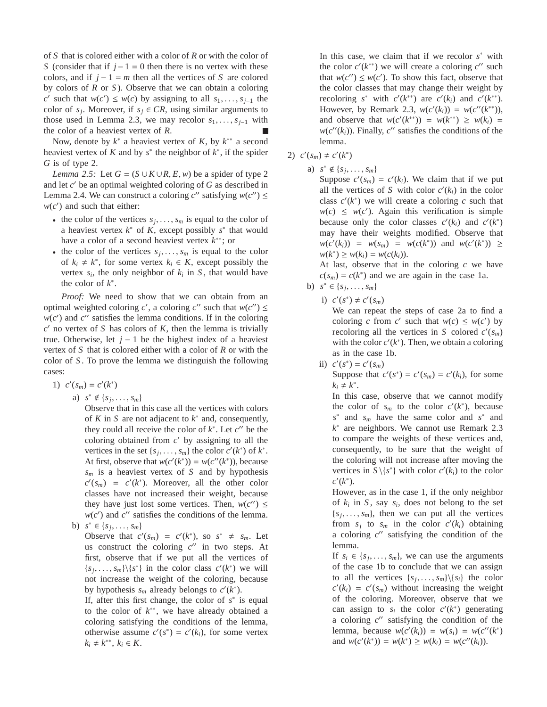of *S* that is colored either with a color of *R* or with the color of *S* (consider that if *j* − 1 = 0 then there is no vertex with these colors, and if  $j - 1 = m$  then all the vertices of *S* are colored by colors of *R* or *S* ). Observe that we can obtain a coloring *c*′ such that *w*(*c*<sup>'</sup>) ≤ *w*(*c*) by assigning to all *s*<sub>1</sub>, . . . , *s*<sub>*j*−1</sub> the color of  $s_j$ . Moreover, if  $s_j \in CR$ , using similar arguments to those used in Lemma 2.3, we may recolor  $s_1, \ldots, s_{i-1}$  with the color of a heaviest vertex of *R*. П

Now, denote by  $k^*$  a heaviest vertex of  $K$ , by  $k^{**}$  a second heaviest vertex of  $K$  and by  $s^*$  the neighbor of  $k^*$ , if the spider *G* is of type 2.

*Lemma 2.5:* Let  $G = (S \cup K \cup R, E, w)$  be a spider of type 2 and let *c* ′ be an optimal weighted coloring of *G* as described in Lemma 2.4. We can construct a coloring  $c''$  satisfying  $w(c'') \leq$  $w(c')$  and such that either:

- the color of the vertices  $s_j, \ldots, s_m$  is equal to the color of a heaviest vertex  $k^*$  of  $K$ , except possibly  $s^*$  that would have a color of a second heaviest vertex *k* ∗∗; or
- the color of the vertices  $s_j, \ldots, s_m$  is equal to the color of  $k_i \neq k^*$ , for some vertex  $k_i \in K$ , except possibly the vertex  $s_i$ , the only neighbor of  $k_i$  in  $S$ , that would have the color of  $k^*$ .

*Proof:* We need to show that we can obtain from an optimal weighted coloring *c'*, a coloring *c''* such that  $w(c'') \leq$  $w(c')$  and  $c''$  satisfies the lemma conditions. If in the coloring  $c'$  no vertex of *S* has colors of *K*, then the lemma is trivially true. Otherwise, let  $j - 1$  be the highest index of a heaviest vertex of *S* that is colored either with a color of *R* or with the color of *S* . To prove the lemma we distinguish the following cases:

$$
1) \ c'(s_m) = c'(k^*)
$$

a)  $s^* \notin \{s_j, \ldots, s_m\}$ 

Observe that in this case all the vertices with colors of  $K$  in  $S$  are not adjacent to  $k^*$  and, consequently, they could all receive the color of  $k^*$ . Let  $c''$  be the coloring obtained from  $c'$  by assigning to all the vertices in the set  $\{s_j, \ldots, s_m\}$  the color  $c'(k^*)$  of  $k^*$ . At first, observe that  $w(c'(k^*)) = w(c''(k^*))$ , because *s<sup>m</sup>* is a heaviest vertex of *S* and by hypothesis  $c'(s_m) = c'(k^*)$ . Moreover, all the other color classes have not increased their weight, because they have just lost some vertices. Then,  $w(c'') \leq$  $w(c')$  and  $c''$  satisfies the conditions of the lemma.

b)  $s^* \in \{s_j, \ldots, s_m\}$ 

Observe that  $c'(s_m) = c'(k^*)$ , so  $s^* \neq s_m$ . Let us construct the coloring  $c''$  in two steps. At first, observe that if we put all the vertices of  ${s_j, \ldots, s_m}\$ { ${s^*}$ } in the color class  $c'(k^*)$  we will not increase the weight of the coloring, because by hypothesis  $s_m$  already belongs to  $c'(k^*)$ .

If, after this first change, the color of  $s^*$  is equal to the color of *k* ∗∗, we have already obtained a coloring satisfying the conditions of the lemma, otherwise assume  $c'(s^*) = c'(k_i)$ , for some vertex  $k_i \neq k^{**}, k_i \in K$ .

In this case, we claim that if we recolor  $s^*$  with the color  $c'(k^{**})$  we will create a coloring  $c''$  such that  $w(c'') \leq w(c')$ . To show this fact, observe that the color classes that may change their weight by recoloring *s*<sup>\*</sup> with  $c'(k^{**})$  are  $c'(k_i)$  and  $c'(k^{**})$ . However, by Remark 2.3,  $w(c'(k_i)) = w(c''(k^{**}))$ , and observe that  $w(c'(k^{**})) = w(k^{**}) \ge w(k_i) = 0$  $w(c''(k_i))$ . Finally,  $c''$  satisfies the conditions of the lemma.

- 2)  $c'(s_m) \neq c'(k^*)$ 
	- a)  $s^* \notin \{s_j, \ldots, s_m\}$

Suppose  $c'(s_m) = c'(k_i)$ . We claim that if we put all the vertices of *S* with color  $c'(k_i)$  in the color class  $c'(k^*)$  we will create a coloring  $c$  such that  $w(c) \leq w(c')$ . Again this verification is simple because only the color classes  $c'(k_i)$  and  $c'(k^*)$ may have their weights modified. Observe that *w*(*c*<sup>'</sup>(*k*<sub>*i*</sub>)) = *w*(*s*<sub>*m*</sub>) = *w*(*c*(*k*<sup>\*</sup>)) and *w*(*c*<sup>'</sup>(*k*<sup>\*</sup>)) ≥  $w(k^*)$  ≥  $w(k_i) = w(c(k_i)).$ 

At last, observe that in the coloring *c* we have  $c(s_m) = c(k^*)$  and we are again in the case 1a.

- b)  $s^* \in \{s_j, \ldots, s_m\}$ 
	- i)  $c'(s^*) \neq c'(s_m)$

We can repeat the steps of case 2a to find a coloring *c* from *c*' such that  $w(c) \leq w(c')$  by recoloring all the vertices in *S* colored  $c'(s_m)$ with the color  $c'(k^*)$ . Then, we obtain a coloring as in the case 1b.

ii)  $c'(s^*) = c'(s_m)$ Suppose that  $c'(s^*) = c'(s_m) = c'(k_i)$ , for some  $k_i \neq k^*$ .

In this case, observe that we cannot modify the color of  $s_m$  to the color  $c'(k^*)$ , because *s* ∗ and *s<sup>m</sup>* have the same color and *s* ∗ and *k* ∗ are neighbors. We cannot use Remark 2.3 to compare the weights of these vertices and, consequently, to be sure that the weight of the coloring will not increase after moving the vertices in  $S \setminus \{s^*\}$  with color  $c'(k_i)$  to the color *c* ′ (*k* ∗ ).

However, as in the case 1, if the only neighbor of  $k_i$  in  $S$ , say  $s_i$ , does not belong to the set  ${s_j, \ldots, s_m}$ , then we can put all the vertices from  $s_j$  to  $s_m$  in the color  $c'(k_i)$  obtaining a coloring *c* ′′ satisfying the condition of the lemma.

If  $s_i \in \{s_j, \ldots, s_m\}$ , we can use the arguments of the case 1b to conclude that we can assign to all the vertices  $\{s_j, \ldots, s_m\} \setminus \{s_i\}$  the color  $c'(k_i) = c'(s_m)$  without increasing the weight of the coloring. Moreover, observe that we can assign to  $s_i$  the color  $c'(k^*)$  generating a coloring *c* ′′ satisfying the condition of the lemma, because  $w(c'(k_i)) = w(s_i) = w(c''(k^*))$ and  $w(c'(k^*)) = w(k^*) \ge w(k_i) = w(c''(k_i)).$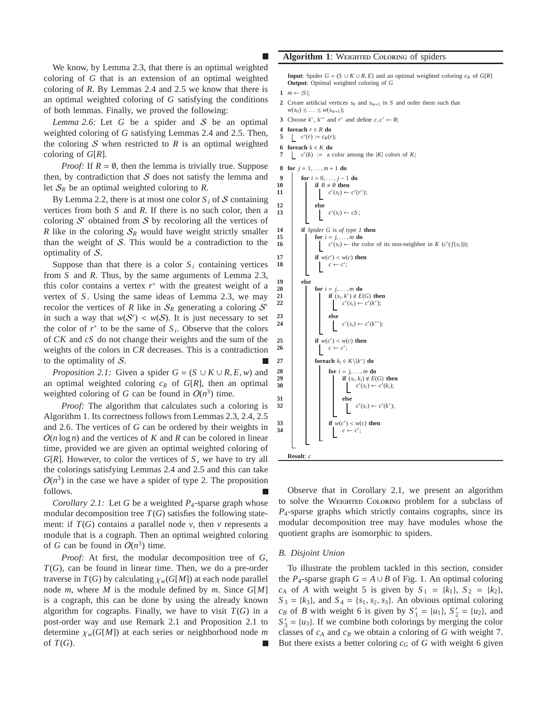We know, by Lemma 2.3, that there is an optimal weighted coloring of *G* that is an extension of an optimal weighted coloring of *R*. By Lemmas 2.4 and 2.5 we know that there is an optimal weighted coloring of *G* satisfying the conditions of both lemmas. Finally, we proved the following:

*Lemma 2.6:* Let *G* be a spider and S be an optimal weighted coloring of *G* satisfying Lemmas 2.4 and 2.5. Then, the coloring  $S$  when restricted to  $R$  is an optimal weighted coloring of *G*[*R*].

*Proof:* If  $R = \emptyset$ , then the lemma is trivially true. Suppose then, by contradiction that  $S$  does not satisfy the lemma and let  $S_R$  be an optimal weighted coloring to R.

By Lemma 2.2, there is at most one color  $S_i$  of  $S$  containing vertices from both *S* and *R*. If there is no such color, then a coloring  $S'$  obtained from  $S$  by recoloring all the vertices of *R* like in the coloring  $S_R$  would have weight strictly smaller than the weight of  $S$ . This would be a contradiction to the optimality of S.

Suppose than that there is a color  $S_i$  containing vertices from *S* and *R*. Thus, by the same arguments of Lemma 2.3, this color contains a vertex  $r^*$  with the greatest weight of a vertex of *S* . Using the same ideas of Lemma 2.3, we may recolor the vertices of *R* like in  $S_R$  generating a coloring S' in such a way that  $w(S') < w(S)$ . It is just necessary to set the color of  $r^*$  to be the same of  $S_i$ . Observe that the colors of *CK* and *cS* do not change their weights and the sum of the weights of the colors in *CR* decreases. This is a contradiction to the optimality of S.

*Proposition 2.1:* Given a spider  $G = (S \cup K \cup R, E, w)$  and an optimal weighted coloring  $c_R$  of  $G[R]$ , then an optimal weighted coloring of *G* can be found in  $O(n^3)$  time.

*Proof:* The algorithm that calculates such a coloring is Algorithm 1. Its correctness follows from Lemmas 2.3, 2.4, 2.5 and 2.6. The vertices of *G* can be ordered by their weights in  $O(n \log n)$  and the vertices of K and R can be colored in linear time, provided we are given an optimal weighted coloring of *G*[*R*]. However, to color the vertices of *S* , we have to try all the colorings satisfying Lemmas 2.4 and 2.5 and this can take  $O(n^3)$  in the case we have a spider of type 2. The proposition follows.

*Corollary 2.1:* Let *G* be a weighted *P*4-sparse graph whose modular decomposition tree  $T(G)$  satisfies the following statement: if  $T(G)$  contains a parallel node  $\nu$ , then  $\nu$  represents a module that is a cograph. Then an optimal weighted coloring of *G* can be found in  $O(n^3)$  time.

*Proof:* At first, the modular decomposition tree of *G*, *T*(*G*), can be found in linear time. Then, we do a pre-order traverse in  $T(G)$  by calculating  $\chi_w(G[M])$  at each node parallel node *m*, where *M* is the module defined by *m*. Since *G*[*M*] is a cograph, this can be done by using the already known algorithm for cographs. Finally, we have to visit  $T(G)$  in a post-order way and use Remark 2.1 and Proposition 2.1 to determine χ*w*(*G*[*M*]) at each series or neighborhood node *m* of  $T(G)$ .

**Algorithm 1**: W C of spiders

**Input**: Spider  $G = (S \cup K \cup R, E)$  and an optimal weighted coloring  $c_R$  of  $G[R]$ **Output**: Optimal weighted coloring of *G*

```
1 m ← |S |;
```
- **2** Create artificial vertices  $s_0$  and  $s_{m+1}$  in *S* and order them such that  $w(s_0) \leq \ldots \leq w(s_{m+1});$
- 3 Choose  $k^*$ ,  $k^{**}$  and  $r^*$  and define  $c, c' \leftarrow \emptyset$ ;
- **4 foreach**  $r \in R$  **do**<br>**5**  $c'(r) := c_R(r)$
- 5  $c'(r) := c_R(r);$
- **6 foreach** *k* ∈ *K* **do**
- **7**  $\vert$   $c'(k) \vert := \text{ a color among the } |K| \text{ colors of } K;$

**8 for**  $j = 1, ..., m + 1$  **do** 



Observe that in Corollary 2.1, we present an algorithm to solve the  $W$   $C$  problem for a subclass of *P*4-sparse graphs which strictly contains cographs, since its modular decomposition tree may have modules whose the quotient graphs are isomorphic to spiders.

#### *B. Disjoint Union*

To illustrate the problem tackled in this section, consider the *P*<sub>4</sub>-sparse graph  $G = A \cup B$  of Fig. 1. An optimal coloring  $c_A$  of *A* with weight 5 is given by  $S_1 = \{k_1\}, S_2 = \{k_2\},\$  $S_3 = \{k_3\}$ , and  $S_4 = \{s_1, s_2, s_3\}$ . An obvious optimal coloring *c<sub>B</sub>* of *B* with weight 6 is given by  $S' = \{u_1\}$ ,  $S' = \{u_2\}$ , and  $S'_3 = \{u_3\}$ . If we combine both colorings by merging the color classes of *c<sup>A</sup>* and *c<sup>B</sup>* we obtain a coloring of *G* with weight 7. But there exists a better coloring  $c_G$  of  $G$  with weight 6 given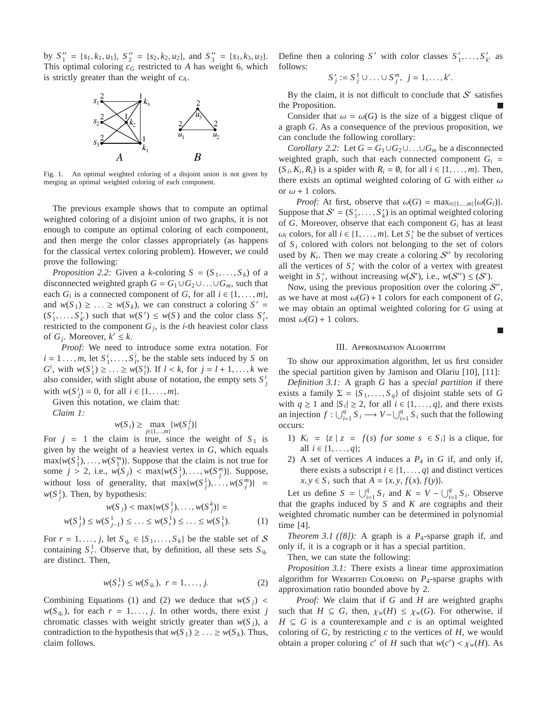by  $S_1'' = \{s_1, k_1, u_1\}, S_2'' = \{s_2, k_2, u_2\}, \text{ and } S_3'' = \{s_3, k_3, u_3\}.$ This optimal coloring *c<sup>G</sup>* restricted to *A* has weight 6, which is strictly greater than the weight of *cA*.



Fig. 1. An optimal weighted coloring of a disjoint union is not given by merging an optimal weighted coloring of each component.

The previous example shows that to compute an optimal weighted coloring of a disjoint union of two graphs, it is not enough to compute an optimal coloring of each component, and then merge the color classes appropriately (as happens for the classical vertex coloring problem). However, we could prove the following:

*Proposition 2.2:* Given a *k*-coloring  $S = (S_1, \ldots, S_k)$  of a disconnected weighted graph  $G = G_1 \cup G_2 \cup ... \cup G_m$ , such that each  $G_i$  is a connected component of  $G$ , for all  $i \in \{1, \ldots, m\}$ , and  $w(S_1) \geq \ldots \geq w(S_k)$ , we can construct a coloring  $S' =$  $(S'_1, \ldots, S'_k)$  such that  $w(S') \leq w(S)$  and the color class  $S'_i$ , restricted to the component  $G_j$ , is the *i*-th heaviest color class of  $G_j$ . Moreover,  $k' \leq k$ .

*Proof:* We need to introduce some extra notation. For  $i = 1, \ldots, m$ , let  $S_1^i, \ldots, S_i^i$ , be the stable sets induced by *S* on *G*<sup>*i*</sup>, with *w*(*S*<sup>*i*</sup><sub>1</sub>) ≥ ... ≥ *w*(*S*<sup>*i*</sup><sub>*l*</sub>). If *l* < *k*, for *j* = *l* + 1, ..., *k* we also consider, with slight abuse of notation, the empty sets  $S_j^i$ with  $w(S_j^i) = 0$ , for all  $i \in \{1, ..., m\}$ .

Given this notation, we claim that:

*Claim 1:*

$$
w(S_i) \ge \max_{j \in \{1, \dots, m\}} \{w(S_i^j)\}
$$

For  $j = 1$  the claim is true, since the weight of  $S_1$  is given by the weight of a heaviest vertex in *G*, which equals  $\max\{w(S_1^1), \ldots, w(S_1^m)\}\$ . Suppose that the claim is not true for some  $j > 2$ , i.e.,  $w(S_j) < \max\{w(S_j^1), \ldots, w(S_j^m)\}$ . Suppose, without loss of generality, that  $\max\{w(S_j^1), \ldots, w(S_j^m)\}$  =  $w(S_j^1)$ . Then, by hypothesis:

$$
w(S_j) < \max\{w(S_j^1), \dots, w(S_j^k)\} =
$$
\n
$$
w(S_j^1) \le w(S_{j-1}^1) \le \dots \le w(S_j^1) \le \dots \le w(S_1^1). \tag{1}
$$

For  $r = 1, \ldots, j$ , let  $S_{q_r} \in \{S_1, \ldots, S_k\}$  be the stable set of S containing  $S_r^1$ . Observe that, by definition, all these sets  $S_{q_r}$ are distinct. Then,

$$
w(S_r^1) \le w(S_{q_r}), \ r = 1, \dots, j. \tag{2}
$$

Combining Equations (1) and (2) we deduce that  $w(S_i)$  <  $w(S_{q_r})$ , for each  $r = 1, \ldots, j$ . In other words, there exist *j* chromatic classes with weight strictly greater than  $w(S_i)$ , a contradiction to the hypothesis that  $w(S_1) \geq \ldots \geq w(S_k)$ . Thus, claim follows.

Define then a coloring *S*<sup>*'*</sup> with color classes  $S'_1, \ldots, S'_{k'}$  as follows:

$$
S'_{j} := S_{j}^{1} \cup \ldots \cup S_{j}^{m}, \quad j = 1, \ldots, k'.
$$

By the claim, it is not difficult to conclude that  $S'$  satisfies the Proposition.

Consider that  $\omega = \omega(G)$  is the size of a biggest clique of a graph *G*. As a consequence of the previous proposition, we can conclude the following corollary:

*Corollary 2.2:* Let  $G = G_1 \cup G_2 \cup ... \cup G_m$  be a disconnected weighted graph, such that each connected component  $G_i$  =  $(S_i, K_i, R_i)$  is a spider with  $R_i = \emptyset$ , for all  $i \in \{1, \ldots, m\}$ . Then, there exists an optimal weighted coloring of  $G$  with either  $\omega$ or  $\omega$  + 1 colors.

*Proof:* At first, observe that  $\omega(G) = \max_{i \in \{1, \ldots, m\}} {\{\omega(G_i)\}}$ . Suppose that  $S' = (S'_1, \ldots, S'_k)$  is an optimal weighted coloring of *G*. Moreover, observe that each component *G<sup>i</sup>* has at least  $\omega_i$  colors, for all  $i \in \{1, ..., m\}$ . Let  $S_i^*$  be the subset of vertices of  $S_i$  colored with colors not belonging to the set of colors used by  $K_i$ . Then we may create a coloring  $S''$  by recoloring all the vertices of  $S_i^*$  with the color of a vertex with greatest weight in  $S_i^*$ , without increasing  $w(S')$ , i.e.,  $w(S'') \leq (S')$ .

Now, using the previous proposition over the coloring  $\mathcal{S}^{\prime\prime}$ , as we have at most  $\omega(G) + 1$  colors for each component of G, we may obtain an optimal weighted coloring for *G* using at most  $\omega(G) + 1$  colors.

г



To show our approximation algorithm, let us first consider the special partition given by Jamison and Olariu [10], [11]:

*Definition 3.1:* A graph *G* has a *special partition* if there exists a family  $\Sigma = \{S_1, \ldots, S_q\}$  of disjoint stable sets of *G* with  $q \ge 1$  and  $|S_i| \ge 2$ , for all  $i \in \{1, ..., q\}$ , and there exists an injection  $f: \bigcup_{i=1}^{q} S_i \longrightarrow V - \bigcup_{i=1}^{q} S_i$  such that the following occurs:

- 1)  $K_i = \{z \mid z = f(s) \text{ for some } s \in S_i\}$  is a clique, for all *i* ∈ {1, . . . , *q*};
- 2) A set of vertices *A* induces a *P*<sup>4</sup> in *G* if, and only if, there exists a subscript  $i \in \{1, ..., q\}$  and distinct vertices *x*, *y* ∈ *S*<sub>*i*</sub> such that *A* = {*x*, *y*, *f*(*x*), *f*(*y*)}.

Let us define  $S = \bigcup_{i=1}^{q} S_i$  and  $K = V - \bigcup_{i=1}^{q} S_i$ . Observe that the graphs induced by *S* and *K* are cographs and their weighted chromatic number can be determined in polynomial time [4].

*Theorem 3.1 ([8]):* A graph is a *P*4-sparse graph if, and only if, it is a cograph or it has a special partition.

Then, we can state the following:

*Proposition 3.1:* There exists a linear time approximation algorithm for W  $\qquad C$  on *P*<sub>4</sub>-sparse graphs with approximation ratio bounded above by 2.

*Proof:* We claim that if *G* and *H* are weighted graphs such that  $H \subseteq G$ , then,  $\chi_w(H) \leq \chi_w(G)$ . For otherwise, if  $H \subseteq G$  is a counterexample and *c* is an optimal weighted coloring of *G*, by restricting *c* to the vertices of *H*, we would obtain a proper coloring *c*<sup> $\prime$ </sup> of *H* such that  $w(c') < \chi_w(H)$ . As